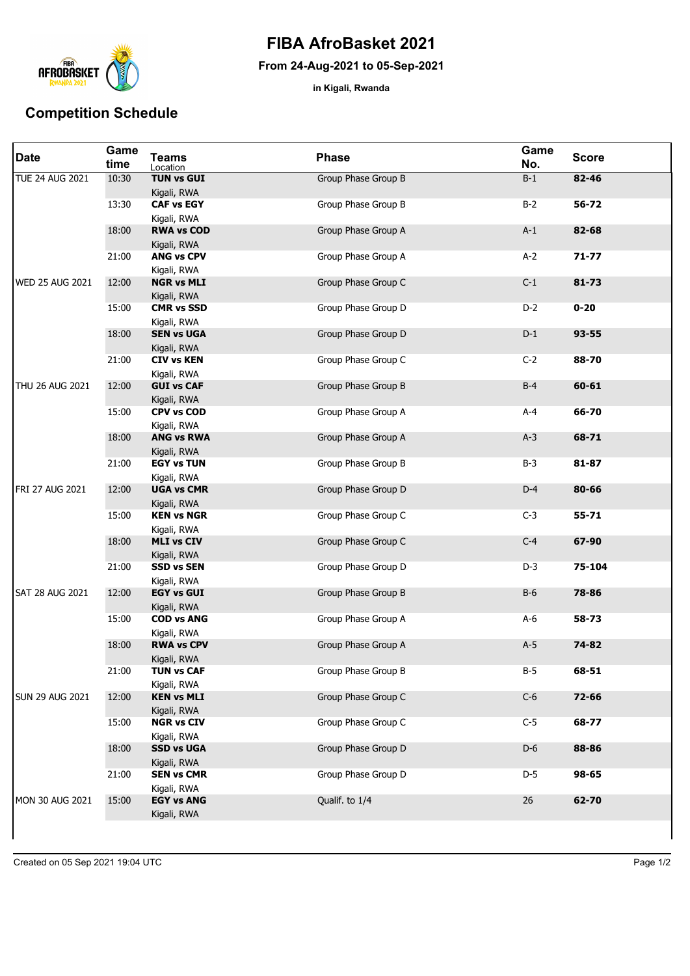

## **FIBA AfroBasket 2021**

## **From 24-Aug-2021 to 05-Sep-2021**

**in Kigali, Rwanda**

## **Competition Schedule**

| <b>Date</b>            | Game<br>time | <b>Teams</b><br>Location         | <b>Phase</b>        | Game<br>No. | <b>Score</b> |
|------------------------|--------------|----------------------------------|---------------------|-------------|--------------|
| <b>TUE 24 AUG 2021</b> | 10:30        | <b>TUN vs GUI</b><br>Kigali, RWA | Group Phase Group B | $B-1$       | $82 - 46$    |
|                        | 13:30        | <b>CAF vs EGY</b><br>Kigali, RWA | Group Phase Group B | $B-2$       | 56-72        |
|                        | 18:00        | <b>RWA vs COD</b><br>Kigali, RWA | Group Phase Group A | $A-1$       | 82-68        |
|                        | 21:00        | <b>ANG vs CPV</b><br>Kigali, RWA | Group Phase Group A | $A-2$       | $71 - 77$    |
| <b>WED 25 AUG 2021</b> | 12:00        | <b>NGR vs MLI</b><br>Kigali, RWA | Group Phase Group C | $C-1$       | $81 - 73$    |
|                        | 15:00        | <b>CMR vs SSD</b><br>Kigali, RWA | Group Phase Group D | $D-2$       | $0 - 20$     |
|                        | 18:00        | <b>SEN vs UGA</b><br>Kigali, RWA | Group Phase Group D | $D-1$       | $93 - 55$    |
|                        | 21:00        | <b>CIV vs KEN</b><br>Kigali, RWA | Group Phase Group C | $C-2$       | 88-70        |
| <b>THU 26 AUG 2021</b> | 12:00        | <b>GUI vs CAF</b><br>Kigali, RWA | Group Phase Group B | $B-4$       | $60 - 61$    |
|                        | 15:00        | <b>CPV vs COD</b><br>Kigali, RWA | Group Phase Group A | $A-4$       | 66-70        |
|                        | 18:00        | <b>ANG vs RWA</b><br>Kigali, RWA | Group Phase Group A | $A-3$       | 68-71        |
|                        | 21:00        | <b>EGY vs TUN</b><br>Kigali, RWA | Group Phase Group B | $B-3$       | 81-87        |
| FRI 27 AUG 2021        | 12:00        | <b>UGA vs CMR</b><br>Kigali, RWA | Group Phase Group D | $D-4$       | 80-66        |
|                        | 15:00        | <b>KEN vs NGR</b><br>Kigali, RWA | Group Phase Group C | $C-3$       | $55 - 71$    |
|                        | 18:00        | <b>MLI vs CIV</b><br>Kigali, RWA | Group Phase Group C | $C-4$       | 67-90        |
|                        | 21:00        | <b>SSD vs SEN</b><br>Kigali, RWA | Group Phase Group D | $D-3$       | 75-104       |
| <b>SAT 28 AUG 2021</b> | 12:00        | <b>EGY vs GUI</b><br>Kigali, RWA | Group Phase Group B | $B-6$       | 78-86        |
|                        | 15:00        | <b>COD vs ANG</b><br>Kigali, RWA | Group Phase Group A | $A-6$       | 58-73        |
|                        | 18:00        | <b>RWA vs CPV</b><br>Kigali, RWA | Group Phase Group A | $A-5$       | 74-82        |
|                        | 21:00        | <b>TUN vs CAF</b><br>Kigali, RWA | Group Phase Group B | $B-5$       | 68-51        |
| <b>SUN 29 AUG 2021</b> | 12:00        | <b>KEN vs MLI</b><br>Kigali, RWA | Group Phase Group C | $C-6$       | 72-66        |
|                        | 15:00        | <b>NGR vs CIV</b><br>Kigali, RWA | Group Phase Group C | $C-5$       | 68-77        |
|                        | 18:00        | <b>SSD vs UGA</b><br>Kigali, RWA | Group Phase Group D | $D-6$       | 88-86        |
|                        | 21:00        | <b>SEN vs CMR</b><br>Kigali, RWA | Group Phase Group D | $D-5$       | 98-65        |
| MON 30 AUG 2021        | 15:00        | <b>EGY vs ANG</b><br>Kigali, RWA | Qualif. to 1/4      | 26          | 62-70        |
|                        |              |                                  |                     |             |              |